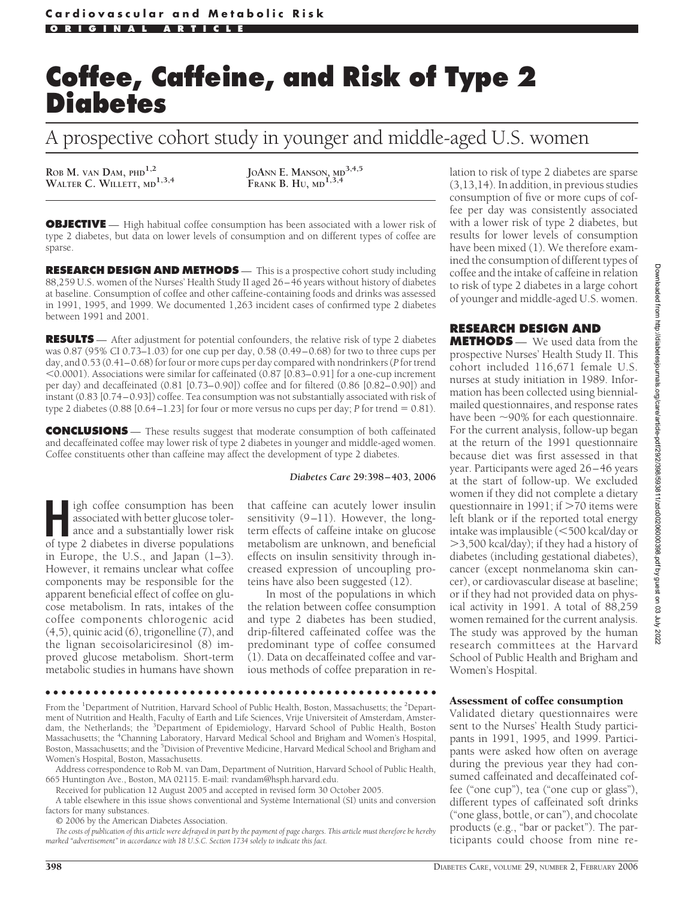# **Coffee, Caffeine, and Risk of Type 2 Diabetes**

A prospective cohort study in younger and middle-aged U.S. women

**ROB M. VAN DAM, PHD1,2**

**WALTER C. WILLETT, MD1,3,4 JOANN E. MANSON, MD3,4,5 FRANK B. HU, MD1,3,4**

**OBJECTIVE** — High habitual coffee consumption has been associated with a lower risk of type 2 diabetes, but data on lower levels of consumption and on different types of coffee are sparse.

**RESEARCH DESIGN AND METHODS** — This is a prospective cohort study including 88,259 U.S. women of the Nurses' Health Study II aged 26–46 years without history of diabetes at baseline. Consumption of coffee and other caffeine-containing foods and drinks was assessed in 1991, 1995, and 1999. We documented 1,263 incident cases of confirmed type 2 diabetes between 1991 and 2001.

**RESULTS** — After adjustment for potential confounders, the relative risk of type 2 diabetes was 0.87 (95% CI 0.73–1.03) for one cup per day, 0.58 (0.49–0.68) for two to three cups per day, and 0.53 (0.41–0.68) for four or more cups per day compared with nondrinkers (*P* for trend 0.0001). Associations were similar for caffeinated (0.87 [0.83–0.91] for a one-cup increment per day) and decaffeinated (0.81 [0.73–0.90]) coffee and for filtered (0.86 [0.82–0.90]) and instant (0.83 [0.74–0.93]) coffee. Tea consumption was not substantially associated with risk of type 2 diabetes  $(0.88 [0.64 - 1.23]$  for four or more versus no cups per day; *P* for trend  $= 0.81$ ).

**CONCLUSIONS** — These results suggest that moderate consumption of both caffeinated and decaffeinated coffee may lower risk of type 2 diabetes in younger and middle-aged women. Coffee constituents other than caffeine may affect the development of type 2 diabetes.

#### *Diabetes Care* **29:398 – 403, 2006**

**High** coffee consumption has been<br>associated with better glucose toler-<br>ance and a substantially lower risk<br>of type 2 diabetes in diverse populations associated with better glucose tolerance and a substantially lower risk of type 2 diabetes in diverse populations in Europe, the U.S., and Japan (1–3). However, it remains unclear what coffee components may be responsible for the apparent beneficial effect of coffee on glucose metabolism. In rats, intakes of the coffee components chlorogenic acid (4,5), quinic acid (6), trigonelline (7), and the lignan secoisolariciresinol (8) improved glucose metabolism. Short-term metabolic studies in humans have shown

that caffeine can acutely lower insulin sensitivity (9–11). However, the longterm effects of caffeine intake on glucose metabolism are unknown, and beneficial effects on insulin sensitivity through increased expression of uncoupling proteins have also been suggested (12).

In most of the populations in which the relation between coffee consumption and type 2 diabetes has been studied, drip-filtered caffeinated coffee was the predominant type of coffee consumed  $(1)$ . Data on decaffeinated coffee and various methods of coffee preparation in relation to risk of type 2 diabetes are sparse (3,13,14). In addition, in previous studies consumption of five or more cups of coffee per day was consistently associated with a lower risk of type 2 diabetes, but results for lower levels of consumption have been mixed (1). We therefore examined the consumption of different types of coffee and the intake of caffeine in relation to risk of type 2 diabetes in a large cohort of younger and middle-aged U.S. women.

# **RESEARCH DESIGN AND**

**METHODS** — We used data from the prospective Nurses' Health Study II. This cohort included 116,671 female U.S. nurses at study initiation in 1989. Information has been collected using biennialmailed questionnaires, and response rates have been  $\sim$ 90% for each questionnaire. For the current analysis, follow-up began at the return of the 1991 questionnaire because diet was first assessed in that year. Participants were aged 26–46 years at the start of follow-up. We excluded women if they did not complete a dietary questionnaire in 1991; if  $>70$  items were left blank or if the reported total energy intake was implausible (500 kcal/day or 3,500 kcal/day); if they had a history of diabetes (including gestational diabetes), cancer (except nonmelanoma skin cancer), or cardiovascular disease at baseline; or if they had not provided data on physical activity in 1991. A total of  $88,259$ women remained for the current analysis. The study was approved by the human research committees at the Harvard School of Public Health and Brigham and Women's Hospital.

●●●●●●●●●●●●●●●●●●●●●●●●●●●●●●●●●●●●●●●●●●●●●●●●●

From the <sup>1</sup>Department of Nutrition, Harvard School of Public Health, Boston, Massachusetts; the <sup>2</sup>Department of Nutrition and Health, Faculty of Earth and Life Sciences, Vrije Universiteit of Amsterdam, Amsterdam, the Netherlands; the <sup>3</sup>Department of Epidemiology, Harvard School of Public Health, Boston Massachusetts; the <sup>4</sup>Channing Laboratory, Harvard Medical School and Brigham and Women's Hospital, Boston, Massachusetts; and the <sup>5</sup>Division of Preventive Medicine, Harvard Medical School and Brigham and Women's Hospital, Boston, Massachusetts.

Address correspondence to Rob M. van Dam, Department of Nutrition, Harvard School of Public Health, 665 Huntington Ave., Boston, MA 02115. E-mail: rvandam@hsph.harvard.edu.

Received for publication 12 August 2005 and accepted in revised form 30 October 2005.

A table elsewhere in this issue shows conventional and Système International (SI) units and conversion factors for many substances.

© 2006 by the American Diabetes Association.

*The costs of publication of this article were defrayed in part by the payment of page charges. This article must therefore be hereby marked "advertisement" in accordance with 18 U.S.C. Section 1734 solely to indicate this fact.*

#### Assessment of coffee consumption

Validated dietary questionnaires were sent to the Nurses' Health Study participants in 1991, 1995, and 1999. Participants were asked how often on average during the previous year they had consumed caffeinated and decaffeinated coffee ("one cup"), tea ("one cup or glass"), different types of caffeinated soft drinks ("one glass, bottle, or can"), and chocolate products (e.g., "bar or packet"). The participants could choose from nine re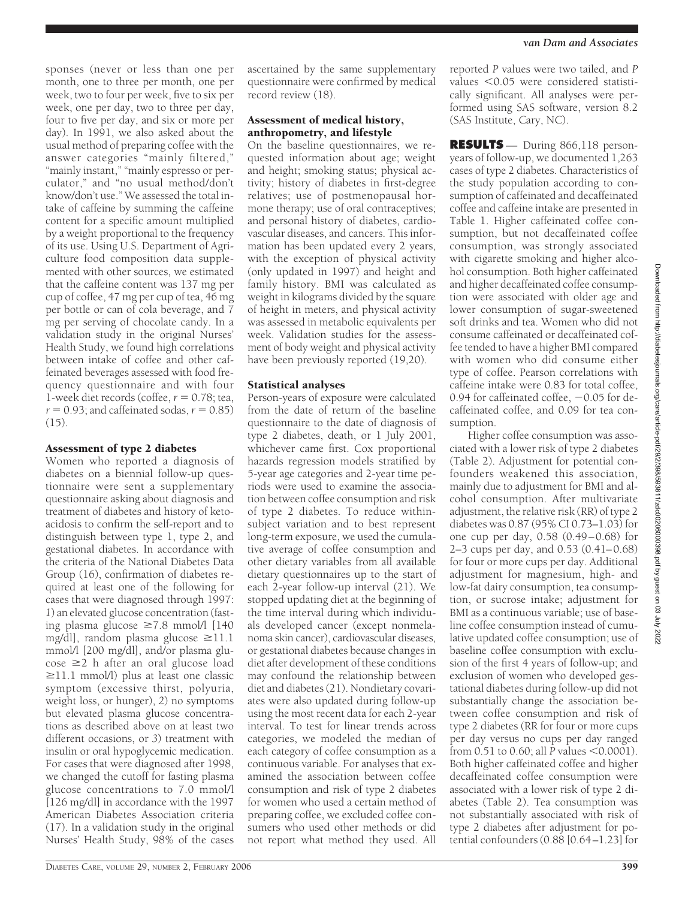sponses (never or less than one per month, one to three per month, one per week, two to four per week, five to six per week, one per day, two to three per day, four to five per day, and six or more per day). In 1991, we also asked about the usual method of preparing coffee with the answer categories "mainly filtered," "mainly instant," "mainly espresso or perculator," and "no usual method/don't know/don't use." We assessed the total intake of caffeine by summing the caffeine content for a specific amount multiplied by a weight proportional to the frequency of its use. Using U.S. Department of Agriculture food composition data supplemented with other sources, we estimated that the caffeine content was 137 mg per cup of coffee, 47 mg per cup of tea, 46 mg per bottle or can of cola beverage, and  $\overline{7}$ mg per serving of chocolate candy. In a validation study in the original Nurses' Health Study, we found high correlations between intake of coffee and other caffeinated beverages assessed with food frequency questionnaire and with four  $1$ -week diet records (coffee,  $r = 0.78$ ; tea,  $r = 0.93$ ; and caffeinated sodas,  $r = 0.85$ )  $(15)$ .

# Assessment of type 2 diabetes

Women who reported a diagnosis of diabetes on a biennial follow-up questionnaire were sent a supplementary questionnaire asking about diagnosis and treatment of diabetes and history of ketoacidosis to confirm the self-report and to distinguish between type 1, type 2, and gestational diabetes. In accordance with the criteria of the National Diabetes Data Group (16), confirmation of diabetes required at least one of the following for cases that were diagnosed through 1997: *1*) an elevated glucose concentration (fasting plasma glucose  $\geq 7.8$  mmol/l [140] mg/dl], random plasma glucose  $\geq$ 11.1 mmol/l [200 mg/dl], and/or plasma glu- $\csc \geq 2$  h after an oral glucose load  $\geq$ 11.1 mmol/l) plus at least one classic symptom (excessive thirst, polyuria, weight loss, or hunger), *2*) no symptoms but elevated plasma glucose concentrations as described above on at least two different occasions, or *3*) treatment with insulin or oral hypoglycemic medication. For cases that were diagnosed after 1998, we changed the cutoff for fasting plasma glucose concentrations to 7.0 mmol/l [126 mg/dl] in accordance with the 1997 American Diabetes Association criteria (17). In a validation study in the original Nurses' Health Study, 98% of the cases

ascertained by the same supplementary questionnaire were confirmed by medical record review (18).

#### Assessment of medical history, anthropometry, and lifestyle

On the baseline questionnaires, we requested information about age; weight and height; smoking status; physical activity; history of diabetes in first-degree relatives; use of postmenopausal hormone therapy; use of oral contraceptives; and personal history of diabetes, cardiovascular diseases, and cancers. This information has been updated every 2 years, with the exception of physical activity (only updated in 1997) and height and family history. BMI was calculated as weight in kilograms divided by the square of height in meters, and physical activity was assessed in metabolic equivalents per week. Validation studies for the assessment of body weight and physical activity have been previously reported (19,20).

#### Statistical analyses

Person-years of exposure were calculated from the date of return of the baseline questionnaire to the date of diagnosis of type 2 diabetes, death, or 1 July 2001, whichever came first. Cox proportional hazards regression models stratified by 5-year age categories and 2-year time periods were used to examine the association between coffee consumption and risk of type 2 diabetes. To reduce withinsubject variation and to best represent long-term exposure, we used the cumulative average of coffee consumption and other dietary variables from all available dietary questionnaires up to the start of each 2-year follow-up interval (21). We stopped updating diet at the beginning of the time interval during which individuals developed cancer (except nonmelanoma skin cancer), cardiovascular diseases, or gestational diabetes because changes in diet after development of these conditions may confound the relationship between diet and diabetes (21). Nondietary covariates were also updated during follow-up using the most recent data for each 2-year interval. To test for linear trends across categories, we modeled the median of each category of coffee consumption as a continuous variable. For analyses that examined the association between coffee consumption and risk of type 2 diabetes for women who used a certain method of preparing coffee, we excluded coffee consumers who used other methods or did not report what method they used. All

reported *P* values were two tailed, and *P* values  $< 0.05$  were considered statistically significant. All analyses were performed using SAS software, version 8.2 (SAS Institute, Cary, NC).

**RESULTS** — During 866,118 personyears of follow-up, we documented 1,263 cases of type 2 diabetes. Characteristics of the study population according to consumption of caffeinated and decaffeinated coffee and caffeine intake are presented in Table 1. Higher caffeinated coffee consumption, but not decaffeinated coffee consumption, was strongly associated with cigarette smoking and higher alcohol consumption. Both higher caffeinated and higher decaffeinated coffee consumption were associated with older age and lower consumption of sugar-sweetened soft drinks and tea. Women who did not consume caffeinated or decaffeinated coffee tended to have a higher BMI compared with women who did consume either type of coffee. Pearson correlations with caffeine intake were 0.83 for total coffee, 0.94 for caffeinated coffee,  $-0.05$  for decaffeinated coffee, and 0.09 for tea consumption.

Higher coffee consumption was associated with a lower risk of type 2 diabetes (Table 2). Adjustment for potential confounders weakened this association, mainly due to adjustment for BMI and alcohol consumption. After multivariate adjustment, the relative risk (RR) of type 2 diabetes was 0.87 (95% CI 0.73–1.03) for one cup per day, 0.58 (0.49–0.68) for 2–3 cups per day, and 0.53 (0.41–0.68) for four or more cups per day. Additional adjustment for magnesium, high- and low-fat dairy consumption, tea consumption, or sucrose intake; adjustment for BMI as a continuous variable; use of baseline coffee consumption instead of cumulative updated coffee consumption; use of baseline coffee consumption with exclusion of the first 4 years of follow-up; and exclusion of women who developed gestational diabetes during follow-up did not substantially change the association between coffee consumption and risk of type 2 diabetes (RR for four or more cups per day versus no cups per day ranged from  $0.51$  to  $0.60$ ; all *P* values  $\leq 0.0001$ ). Both higher caffeinated coffee and higher decaffeinated coffee consumption were associated with a lower risk of type 2 diabetes (Table 2). Tea consumption was not substantially associated with risk of type 2 diabetes after adjustment for potential confounders (0.88 [0.64–1.23] for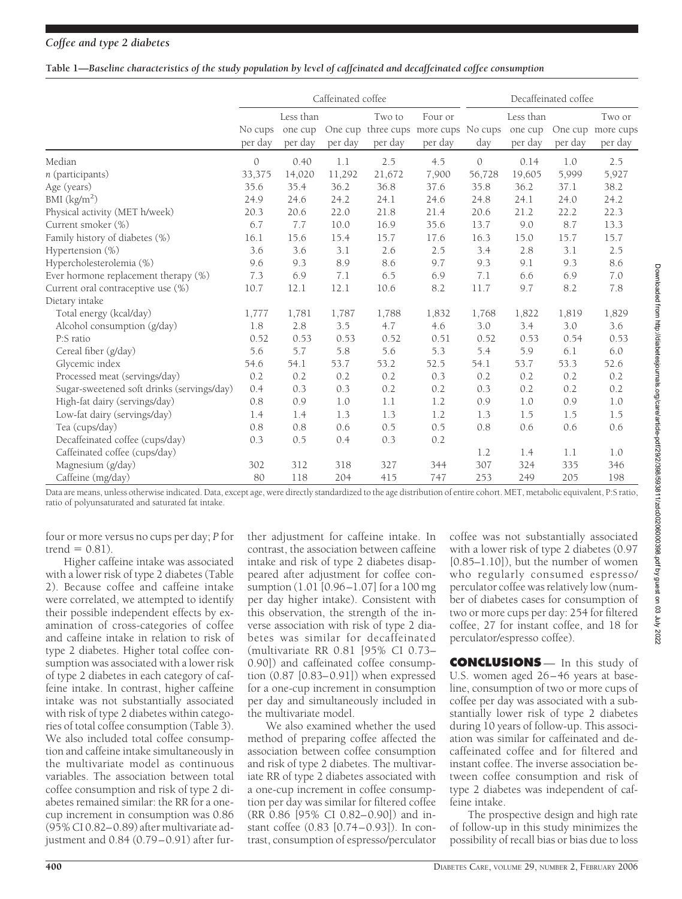### *Coffee and type 2 diabetes*

#### **Table 1—***Baseline characteristics of the study population by level of caffeinated and decaffeinated coffee consumption*

|                                            | Caffeinated coffee |                                 |         |                   | Decaffeinated coffee                                       |               |                                 |         |                                        |
|--------------------------------------------|--------------------|---------------------------------|---------|-------------------|------------------------------------------------------------|---------------|---------------------------------|---------|----------------------------------------|
|                                            | No cups<br>per day | Less than<br>one cup<br>per day | per day | Two to<br>per day | Four or<br>One cup three cups more cups No cups<br>per day | day           | Less than<br>one cup<br>per day | per day | Two or<br>One cup more cups<br>per day |
| Median                                     | $\mathcal{O}$      | 0.40                            | 1.1     | 2.5               | 4.5                                                        | $\mathcal{O}$ | 0.14                            | 1.0     | 2.5                                    |
| $n$ (participants)                         | 33,375             | 14,020                          | 11,292  | 21,672            | 7,900                                                      | 56,728        | 19,605                          | 5,999   | 5,927                                  |
| Age (years)                                | 35.6               | 35.4                            | 36.2    | 36.8              | 37.6                                                       | 35.8          | 36.2                            | 37.1    | 38.2                                   |
| BMI (kg/m <sup>2</sup> )                   | 24.9               | 24.6                            | 24.2    | 24.1              | 24.6                                                       | 24.8          | 24.1                            | 24.0    | 24.2                                   |
| Physical activity (MET h/week)             | 20.3               | 20.6                            | 22.0    | 21.8              | 21.4                                                       | 20.6          | 21.2                            | 22.2    | 22.3                                   |
| Current smoker (%)                         | 6.7                | 7.7                             | 10.0    | 16.9              | 35.6                                                       | 13.7          | 9.0                             | 8.7     | 13.3                                   |
| Family history of diabetes (%)             | 16.1               | 15.6                            | 15.4    | 15.7              | 17.6                                                       | 16.3          | 15.0                            | 15.7    | 15.7                                   |
| Hypertension (%)                           | 3.6                | 3.6                             | 3.1     | 2.6               | 2.5                                                        | 3.4           | 2.8                             | 3.1     | 2.5                                    |
| Hypercholesterolemia (%)                   | 9.6                | 9.3                             | 8.9     | 8.6               | 9.7                                                        | 9.3           | 9.1                             | 9.3     | 8.6                                    |
| Ever hormone replacement therapy (%)       | 7.3                | 6.9                             | 7.1     | 6.5               | 6.9                                                        | 7.1           | 6.6                             | 6.9     | 7.0                                    |
| Current oral contraceptive use (%)         | 10.7               | 12.1                            | 12.1    | 10.6              | 8.2                                                        | 11.7          | 9.7                             | 8.2     | 7.8                                    |
| Dietary intake                             |                    |                                 |         |                   |                                                            |               |                                 |         |                                        |
| Total energy (kcal/day)                    | 1,777              | 1,781                           | 1,787   | 1,788             | 1,832                                                      | 1,768         | 1,822                           | 1,819   | 1,829                                  |
| Alcohol consumption (g/day)                | 1.8                | 2.8                             | 3.5     | 4.7               | 4.6                                                        | 3.0           | 3.4                             | 3.0     | 3.6                                    |
| P:S ratio                                  | 0.52               | 0.53                            | 0.53    | 0.52              | 0.51                                                       | 0.52          | 0.53                            | 0.54    | 0.53                                   |
| Cereal fiber (g/day)                       | 5.6                | 5.7                             | 5.8     | 5.6               | 5.3                                                        | 5.4           | 5.9                             | 6.1     | 6.0                                    |
| Glycemic index                             | 54.6               | 54.1                            | 53.7    | 53.2              | 52.5                                                       | 54.1          | 53.7                            | 53.3    | 52.6                                   |
| Processed meat (servings/day)              | 0.2                | 0.2                             | 0.2     | 0.2               | 0.3                                                        | 0.2           | 0.2                             | 0.2     | 0.2                                    |
| Sugar-sweetened soft drinks (servings/day) | 0.4                | 0.3                             | 0.3     | 0.2               | 0.2                                                        | 0.3           | 0.2                             | 0.2     | 0.2                                    |
| High-fat dairy (servings/day)              | 0.8                | 0.9                             | 1.0     | 1.1               | 1.2                                                        | 0.9           | 1.0                             | 0.9     | 1.0                                    |
| Low-fat dairy (servings/day)               | 1.4                | 1.4                             | 1.3     | 1.3               | 1.2                                                        | 1.3           | 1.5                             | 1.5     | 1.5                                    |
| Tea (cups/day)                             | 0.8                | 0.8                             | 0.6     | 0.5               | 0.5                                                        | 0.8           | 0.6                             | 0.6     | 0.6                                    |
| Decaffeinated coffee (cups/day)            | 0.3                | 0.5                             | 0.4     | 0.3               | 0.2                                                        |               |                                 |         |                                        |
| Caffeinated coffee (cups/day)              |                    |                                 |         |                   |                                                            | 1.2           | 1.4                             | 1.1     | 1.0                                    |
| Magnesium (g/day)                          | 302                | 312                             | 318     | 327               | 344                                                        | 307           | 324                             | 335     | 346                                    |
| Caffeine (mg/day)                          | 80                 | 118                             | 204     | 415               | 747                                                        | 253           | 249                             | 205     | 198                                    |

Data are means, unless otherwise indicated. Data, except age, were directly standardized to the age distribution of entire cohort. MET, metabolic equivalent, P:S ratio, ratio of polyunsaturated and saturated fat intake.

four or more versus no cups per day; *P* for  $trend = 0.81$ ).

Higher caffeine intake was associated with a lower risk of type 2 diabetes (Table 2). Because coffee and caffeine intake were correlated, we attempted to identify their possible independent effects by examination of cross-categories of coffee and caffeine intake in relation to risk of type 2 diabetes. Higher total coffee consumption was associated with a lower risk of type 2 diabetes in each category of caffeine intake. In contrast, higher caffeine intake was not substantially associated with risk of type 2 diabetes within categories of total coffee consumption (Table 3). We also included total coffee consumption and caffeine intake simultaneously in the multivariate model as continuous variables. The association between total coffee consumption and risk of type 2 diabetes remained similar: the RR for a onecup increment in consumption was 0.86 (95% CI 0.82–0.89) after multivariate adjustment and 0.84 (0.79–0.91) after fur-

ther adjustment for caffeine intake. In contrast, the association between caffeine intake and risk of type 2 diabetes disappeared after adjustment for coffee consumption (1.01 [0.96–1.07] for a 100 mg per day higher intake). Consistent with this observation, the strength of the inverse association with risk of type 2 diabetes was similar for decaffeinated (multivariate RR 0.81 [95% CI 0.73– 0.90]) and caffeinated coffee consumption (0.87 [0.83–0.91]) when expressed for a one-cup increment in consumption per day and simultaneously included in the multivariate model.

We also examined whether the used method of preparing coffee affected the association between coffee consumption and risk of type 2 diabetes. The multivariate RR of type 2 diabetes associated with a one-cup increment in coffee consumption per day was similar for filtered coffee (RR 0.86 [95% CI 0.82–0.90]) and instant coffee (0.83 [0.74–0.93]). In contrast, consumption of espresso/perculator

coffee was not substantially associated with a lower risk of type 2 diabetes (0.97 [0.85–1.10]), but the number of women who regularly consumed espresso/ perculator coffee was relatively low (number of diabetes cases for consumption of two or more cups per day: 254 for filtered coffee, 27 for instant coffee, and 18 for perculator/espresso coffee).

**CONCLUSIONS** — In this study of U.S. women aged 26–46 years at baseline, consumption of two or more cups of coffee per day was associated with a substantially lower risk of type 2 diabetes during 10 years of follow-up. This association was similar for caffeinated and decaffeinated coffee and for filtered and instant coffee. The inverse association between coffee consumption and risk of type 2 diabetes was independent of caffeine intake.

The prospective design and high rate of follow-up in this study minimizes the possibility of recall bias or bias due to loss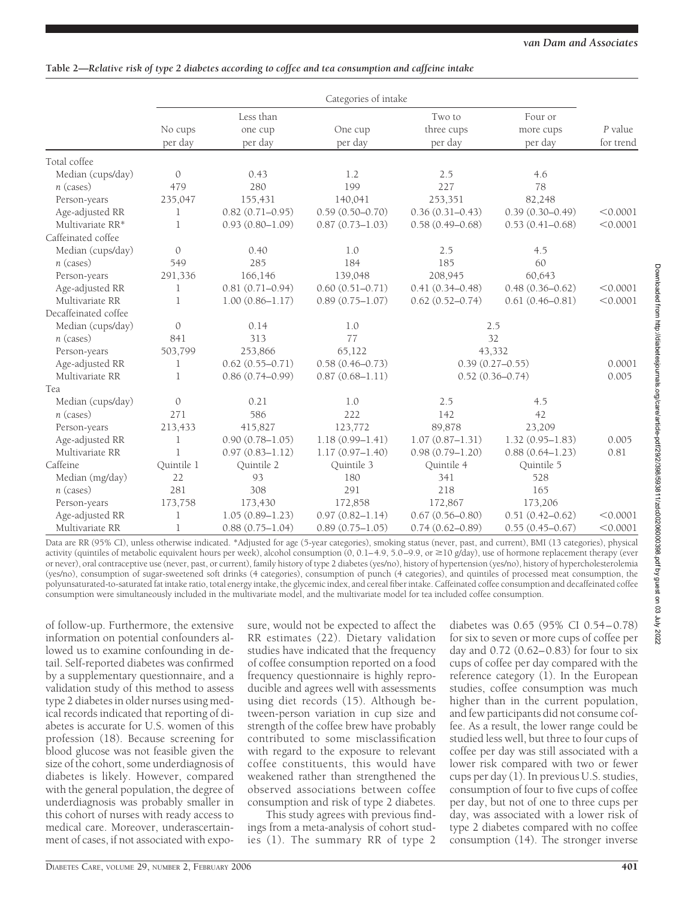# **Table 2—***Relative risk of type 2 diabetes according to coffee and tea consumption and caffeine intake*

|                      | Categories of intake |                                 |                     |                                 |                                 |                      |
|----------------------|----------------------|---------------------------------|---------------------|---------------------------------|---------------------------------|----------------------|
|                      | No cups<br>per day   | Less than<br>one cup<br>per day | One cup<br>per day  | Two to<br>three cups<br>per day | Four or<br>more cups<br>per day | P value<br>for trend |
| Total coffee         |                      |                                 |                     |                                 |                                 |                      |
| Median (cups/day)    | $\mathcal{O}$        | 0.43                            | 1.2                 | 2.5                             | 4.6                             |                      |
| $n$ (cases)          | 479                  | 280                             | 199                 | 227                             | 78                              |                      |
| Person-years         | 235,047              | 155,431                         | 140,041             | 253,351                         | 82,248                          |                      |
| Age-adjusted RR      | 1                    | $0.82(0.71 - 0.95)$             | $0.59(0.50 - 0.70)$ | $0.36(0.31 - 0.43)$             | $0.39(0.30 - 0.49)$             | < 0.0001             |
| Multivariate RR*     | 1                    | $0.93(0.80 - 1.09)$             | $0.87(0.73 - 1.03)$ | $0.58(0.49 - 0.68)$             | $0.53(0.41 - 0.68)$             | < 0.0001             |
| Caffeinated coffee   |                      |                                 |                     |                                 |                                 |                      |
| Median (cups/day)    | $\mathcal{O}$        | 0.40                            | 1.0                 | 2.5                             | 4.5                             |                      |
| $n$ (cases)          | 549                  | 285                             | 184                 | 185                             | 60                              |                      |
| Person-years         | 291,336              | 166,146                         | 139,048             | 208,945                         | 60,643                          |                      |
| Age-adjusted RR      | 1                    | $0.81(0.71 - 0.94)$             | $0.60(0.51 - 0.71)$ | $0.41(0.34 - 0.48)$             | $0.48(0.36 - 0.62)$             | < 0.0001             |
| Multivariate RR      | 1                    | $1.00(0.86 - 1.17)$             | $0.89(0.75 - 1.07)$ | $0.62(0.52 - 0.74)$             | $0.61(0.46 - 0.81)$             | < 0.0001             |
| Decaffeinated coffee |                      |                                 |                     |                                 |                                 |                      |
| Median (cups/day)    | $\mathcal{O}$        | 0.14                            | 1.0                 |                                 | 2.5                             |                      |
| $n$ (cases)          | 841                  | 313                             | 77                  |                                 | 32                              |                      |
| Person-years         | 503,799              | 253,866                         | 65,122              |                                 | 43,332                          |                      |
| Age-adjusted RR      | 1                    | $0.62(0.55 - 0.71)$             | $0.58(0.46 - 0.73)$ | $0.39(0.27 - 0.55)$             | 0.0001                          |                      |
| Multivariate RR      | 1                    | $0.86(0.74 - 0.99)$             | $0.87(0.68 - 1.11)$ | $0.52(0.36 - 0.74)$             |                                 | 0.005                |
| Tea                  |                      |                                 |                     |                                 |                                 |                      |
| Median (cups/day)    | $\mathcal{O}$        | 0.21                            | 1.0                 | 2.5                             | 4.5                             |                      |
| $n$ (cases)          | 271                  | 586                             | 222                 | 142                             | 42                              |                      |
| Person-years         | 213,433              | 415,827                         | 123,772             | 89,878                          | 23,209                          |                      |
| Age-adjusted RR      | 1                    | $0.90(0.78 - 1.05)$             | $1.18(0.99 - 1.41)$ | $1.07(0.87 - 1.31)$             | $1.32(0.95 - 1.83)$             | 0.005                |
| Multivariate RR      | 1                    | $0.97(0.83 - 1.12)$             | $1.17(0.97 - 1.40)$ | $0.98(0.79 - 1.20)$             | $0.88(0.64 - 1.23)$             | 0.81                 |
| Caffeine             | Ouintile 1           | Ouintile 2                      | Ouintile 3          | Ouintile 4                      | Quintile 5                      |                      |
| Median (mg/day)      | 22                   | 93                              | 180                 | 341                             | 528                             |                      |
| $n$ (cases)          | 281                  | 308                             | 291                 | 218                             | 165                             |                      |
| Person-years         | 173,758              | 173,430                         | 172,858             | 172,867                         | 173,206                         |                      |
| Age-adjusted RR      | 1                    | $1.05(0.89 - 1.23)$             | $0.97(0.82 - 1.14)$ | $0.67(0.56 - 0.80)$             | $0.51(0.42 - 0.62)$             | < 0.0001             |
| Multivariate RR      | $\mathbf 1$          | $0.88(0.75 - 1.04)$             | $0.89(0.75 - 1.05)$ | $0.74(0.62 - 0.89)$             | $0.55(0.45 - 0.67)$             | < 0.0001             |

Data are RR (95% CI), unless otherwise indicated. \*Adjusted for age (5-year categories), smoking status (never, past, and current), BMI (13 categories), physical activity (quintiles of metabolic equivalent hours per week), alcohol consumption (0, 0.1−4.9, 5.0−9.9, or ≥10 g/day), use of hormone replacement therapy (ever or never), oral contraceptive use (never, past, or current), family history of type 2 diabetes (yes/no), history of hypertension (yes/no), history of hypercholesterolemia (yes/no), consumption of sugar-sweetened soft drinks (4 categories), consumption of punch (4 categories), and quintiles of processed meat consumption, the polyunsaturated-to-saturated fat intake ratio, total energy intake, the glycemic index, and cereal fiber intake. Caffeinated coffee consumption and decaffeinated coffee consumption were simultaneously included in the multivariate model, and the multivariate model for tea included coffee consumption.

of follow-up. Furthermore, the extensive information on potential confounders allowed us to examine confounding in detail. Self-reported diabetes was confirmed by a supplementary questionnaire, and a validation study of this method to assess type 2 diabetes in older nurses using medical records indicated that reporting of diabetes is accurate for U.S. women of this profession (18). Because screening for blood glucose was not feasible given the size of the cohort, some underdiagnosis of diabetes is likely. However, compared with the general population, the degree of underdiagnosis was probably smaller in this cohort of nurses with ready access to medical care. Moreover, underascertainment of cases, if not associated with exposure, would not be expected to affect the RR estimates (22). Dietary validation studies have indicated that the frequency of coffee consumption reported on a food frequency questionnaire is highly reproducible and agrees well with assessments using diet records (15). Although between-person variation in cup size and strength of the coffee brew have probably contributed to some misclassification with regard to the exposure to relevant coffee constituents, this would have weakened rather than strengthened the observed associations between coffee consumption and risk of type 2 diabetes.

This study agrees with previous findings from a meta-analysis of cohort studies (1). The summary RR of type 2 diabetes was 0.65 (95% CI 0.54–0.78) for six to seven or more cups of coffee per day and 0.72 (0.62–0.83) for four to six cups of coffee per day compared with the reference category (1). In the European studies, coffee consumption was much higher than in the current population, and few participants did not consume coffee. As a result, the lower range could be studied less well, but three to four cups of coffee per day was still associated with a lower risk compared with two or fewer cups per day (1). In previous U.S. studies, consumption of four to five cups of coffee per day, but not of one to three cups per day, was associated with a lower risk of type 2 diabetes compared with no coffee consumption (14). The stronger inverse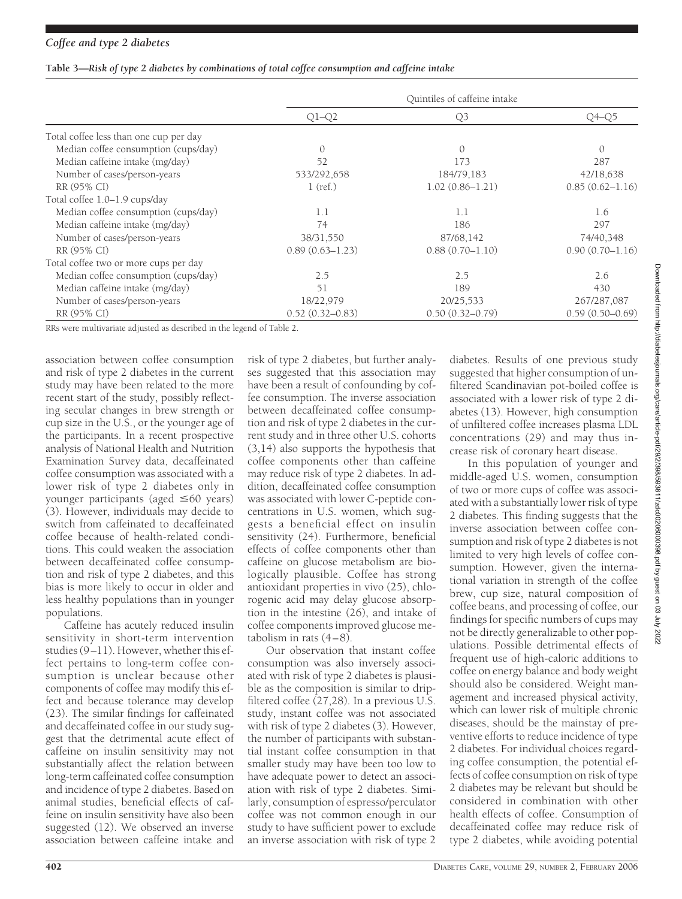### *Coffee and type 2 diabetes*

|  |  |  | Table 3—Risk of type 2 diabetes by combinations of total coffee consumption and caffeine intake |
|--|--|--|-------------------------------------------------------------------------------------------------|
|  |  |  |                                                                                                 |

|                                        |                     | Quintiles of caffeine intake |                     |
|----------------------------------------|---------------------|------------------------------|---------------------|
|                                        | $Q1-Q2$             | Q <sub>3</sub>               | O4-O5               |
| Total coffee less than one cup per day |                     |                              |                     |
| Median coffee consumption (cups/day)   | $\Omega$            | $\Omega$                     | $\mathcal{O}$       |
| Median caffeine intake (mg/day)        | 52                  | 173                          | 287                 |
| Number of cases/person-years           | 533/292,658         | 184/79,183                   | 42/18,638           |
| RR (95% CI)                            | $1$ (ref.)          | $1.02(0.86 - 1.21)$          | $0.85(0.62 - 1.16)$ |
| Total coffee 1.0-1.9 cups/day          |                     |                              |                     |
| Median coffee consumption (cups/day)   | 1.1                 | 1.1                          | 1.6                 |
| Median caffeine intake (mg/day)        | 74                  | 186                          | 297                 |
| Number of cases/person-years           | 38/31,550           | 87/68,142                    | 74/40,348           |
| RR (95% CI)                            | $0.89(0.63 - 1.23)$ | $0.88(0.70 - 1.10)$          | $0.90(0.70 - 1.16)$ |
| Total coffee two or more cups per day  |                     |                              |                     |
| Median coffee consumption (cups/day)   | 2.5                 | 2.5                          | 2.6                 |
| Median caffeine intake (mg/day)        | 51                  | 189                          | 430                 |
| Number of cases/person-years           | 18/22,979           | 20/25,533                    | 267/287,087         |
| RR (95% CI)                            | $0.52(0.32 - 0.83)$ | $0.50(0.32 - 0.79)$          | $0.59(0.50 - 0.69)$ |

RRs were multivariate adjusted as described in the legend of Table 2.

association between coffee consumption and risk of type 2 diabetes in the current study may have been related to the more recent start of the study, possibly reflecting secular changes in brew strength or cup size in the U.S., or the younger age of the participants. In a recent prospective analysis of National Health and Nutrition Examination Survey data, decaffeinated coffee consumption was associated with a lower risk of type 2 diabetes only in younger participants (aged ≤60 years) (3). However, individuals may decide to switch from caffeinated to decaffeinated coffee because of health-related conditions. This could weaken the association between decaffeinated coffee consumption and risk of type 2 diabetes, and this bias is more likely to occur in older and less healthy populations than in younger populations.

Caffeine has acutely reduced insulin sensitivity in short-term intervention studies (9–11). However, whether this effect pertains to long-term coffee consumption is unclear because other components of coffee may modify this effect and because tolerance may develop (23). The similar findings for caffeinated and decaffeinated coffee in our study suggest that the detrimental acute effect of caffeine on insulin sensitivity may not substantially affect the relation between long-term caffeinated coffee consumption and incidence of type 2 diabetes. Based on animal studies, beneficial effects of caffeine on insulin sensitivity have also been suggested (12). We observed an inverse association between caffeine intake and

risk of type 2 diabetes, but further analyses suggested that this association may have been a result of confounding by coffee consumption. The inverse association between decaffeinated coffee consumption and risk of type 2 diabetes in the current study and in three other U.S. cohorts (3,14) also supports the hypothesis that coffee components other than caffeine may reduce risk of type 2 diabetes. In addition, decaffeinated coffee consumption was associated with lower C-peptide concentrations in U.S. women, which suggests a beneficial effect on insulin sensitivity (24). Furthermore, beneficial effects of coffee components other than caffeine on glucose metabolism are biologically plausible. Coffee has strong antioxidant properties in vivo (25), chlorogenic acid may delay glucose absorption in the intestine (26), and intake of coffee components improved glucose metabolism in rats (4–8).

Our observation that instant coffee consumption was also inversely associated with risk of type 2 diabetes is plausible as the composition is similar to dripfiltered coffee (27,28). In a previous U.S. study, instant coffee was not associated with risk of type 2 diabetes (3). However, the number of participants with substantial instant coffee consumption in that smaller study may have been too low to have adequate power to detect an association with risk of type 2 diabetes. Similarly, consumption of espresso/perculator coffee was not common enough in our study to have sufficient power to exclude an inverse association with risk of type 2

diabetes. Results of one previous study suggested that higher consumption of unfiltered Scandinavian pot-boiled coffee is associated with a lower risk of type 2 diabetes (13). However, high consumption of unfiltered coffee increases plasma LDL concentrations (29) and may thus increase risk of coronary heart disease. In this population of younger and middle-aged U.S. women, consumption of two or more cups of coffee was associated with a substantially lower risk of type 2 diabetes. This finding suggests that the inverse association between coffee consumption and risk of type 2 diabetes is not Downloaded from http://diabetesjournals.org/care/article-pdf/29/2/398/593811/zdc00206000398.pdf by guest on 03 July 2022 Downloaded from http://diabetesjournals.org/care/article-pdf/29/2/398/593811/zdc00206000398.pdf by guest on 03 July 2022

limited to very high levels of coffee consumption. However, given the international variation in strength of the coffee brew, cup size, natural composition of coffee beans, and processing of coffee, our findings for specific numbers of cups may not be directly generalizable to other populations. Possible detrimental effects of frequent use of high-caloric additions to coffee on energy balance and body weight should also be considered. Weight management and increased physical activity, which can lower risk of multiple chronic diseases, should be the mainstay of preventive efforts to reduce incidence of type 2 diabetes. For individual choices regarding coffee consumption, the potential effects of coffee consumption on risk of type 2 diabetes may be relevant but should be considered in combination with other health effects of coffee. Consumption of decaffeinated coffee may reduce risk of type 2 diabetes, while avoiding potential